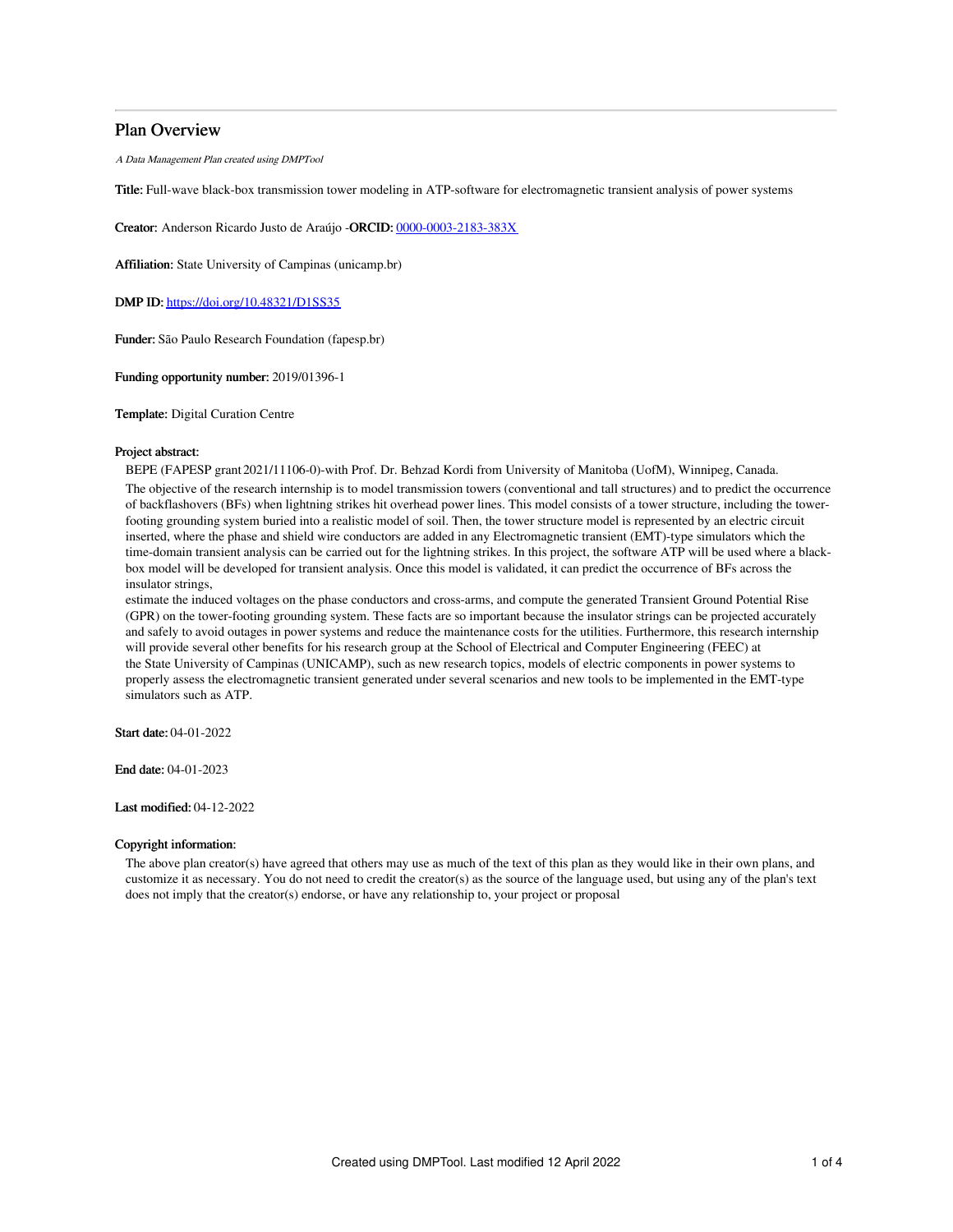# Plan Overview

A Data Management Plan created using DMPTool

Title: Full-wave black-box transmission tower modeling in ATP-software for electromagnetic transient analysis of power systems

Creator: Anderson Ricardo Justo de Araújo -ORCID: [0000-0003-2183-383X](https://orcid.org/0000-0003-2183-383X)

Affiliation: State University of Campinas (unicamp.br)

DMP ID: <https://doi.org/10.48321/D1SS35>

Funder: São Paulo Research Foundation (fapesp.br)

Funding opportunity number: 2019/01396-1

Template: Digital Curation Centre

### Project abstract:

BEPE (FAPESP grant2021/11106-0)-with Prof. Dr. Behzad Kordi from University of Manitoba (UofM), Winnipeg, Canada.

The objective of the research internship is to model transmission towers (conventional and tall structures) and to predict the occurrence of backflashovers (BFs) when lightning strikes hit overhead power lines. This model consists of a tower structure, including the towerfooting grounding system buried into a realistic model of soil. Then, the tower structure model is represented by an electric circuit inserted, where the phase and shield wire conductors are added in any Electromagnetic transient (EMT)-type simulators which the time-domain transient analysis can be carried out for the lightning strikes. In this project, the software ATP will be used where a blackbox model will be developed for transient analysis. Once this model is validated, it can predict the occurrence of BFs across the insulator strings,

estimate the induced voltages on the phase conductors and cross-arms, and compute the generated Transient Ground Potential Rise (GPR) on the tower-footing grounding system. These facts are so important because the insulator strings can be projected accurately and safely to avoid outages in power systems and reduce the maintenance costs for the utilities. Furthermore, this research internship will provide several other benefits for his research group at the School of Electrical and Computer Engineering (FEEC) at the State University of Campinas (UNICAMP), such as new research topics, models of electric components in power systems to properly assess the electromagnetic transient generated under several scenarios and new tools to be implemented in the EMT-type simulators such as ATP.

Start date: 04-01-2022

End date: 04-01-2023

# Last modified: 04-12-2022

### Copyright information:

The above plan creator(s) have agreed that others may use as much of the text of this plan as they would like in their own plans, and customize it as necessary. You do not need to credit the creator(s) as the source of the language used, but using any of the plan's text does not imply that the creator(s) endorse, or have any relationship to, your project or proposal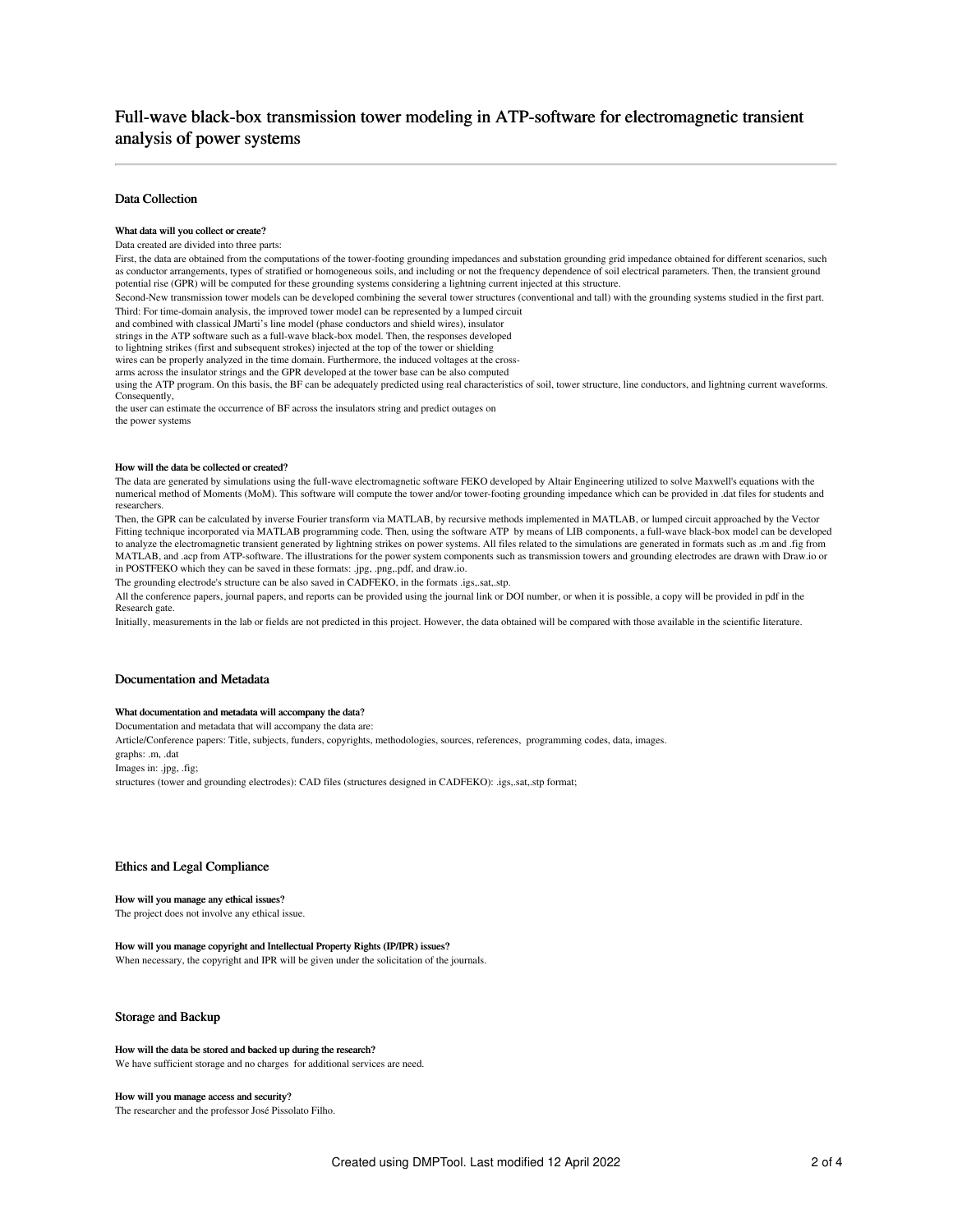# Full-wave black-box transmission tower modeling in ATP-software for electromagnetic transient analysis of power systems

### Data Collection

### What data will you collect or create?

Data created are divided into three parts:

First, the data are obtained from the computations of the tower-footing grounding impedances and substation grounding grid impedance obtained for different scenarios, such as conductor arrangements, types of stratified or homogeneous soils, and including or not the frequency dependence of soil electrical parameters. Then, the transient ground potential rise (GPR) will be computed for these grounding systems considering a lightning current injected at this structure. Second-New transmission tower models can be developed combining the several tower structures (conventional and tall) with the grounding systems studied in the first part.

Third: For time-domain analysis, the improved tower model can be represented by a lumped circuit

and combined with classical JMarti's line model (phase conductors and shield wires), insulator

strings in the ATP software such as a full-wave black-box model. Then, the responses developed

to lightning strikes (first and subsequent strokes) injected at the top of the tower or shielding

wires can be properly analyzed in the time domain. Furthermore, the induced voltages at the cross-

arms across the insulator strings and the GPR developed at the tower base can be also computed

using the ATP program. On this basis, the BF can be adequately predicted using real characteristics of soil, tower structure, line conductors, and lightning current waveforms. Consequently,

the user can estimate the occurrence of BF across the insulators string and predict outages on

the power systems

### How will the data be collected or created?

The data are generated by simulations using the full-wave electromagnetic software FEKO developed by Altair Engineering utilized to solve Maxwell's equations with the numerical method of Moments (MoM). This software will compute the tower and/or tower-footing grounding impedance which can be provided in .dat files for students and researchers.

Then, the GPR can be calculated by inverse Fourier transform via MATLAB, by recursive methods implemented in MATLAB, or lumped circuit approached by the Vector Fitting technique incorporated via MATLAB programming code. Then, using the software ATP by means of LIB components, a full-wave black-box model can be developed to analyze the electromagnetic transient generated by lightning strikes on power systems. All files related to the simulations are generated in formats such as .m and .fig from MATLAB, and .acp from ATP-software. The illustrations for the power system components such as transmission towers and grounding electrodes are drawn with Draw.io or in POSTFEKO which they can be saved in these formats: .jpg, .png,.pdf, and draw.io.

The grounding electrode's structure can be also saved in CADFEKO, in the formats .igs,.sat,.stp.

All the conference papers, journal papers, and reports can be provided using the journal link or DOI number, or when it is possible, a copy will be provided in pdf in the Research gate.

Initially, measurements in the lab or fields are not predicted in this project. However, the data obtained will be compared with those available in the scientific literature.

## Documentation and Metadata

#### What documentation and metadata will accompany the data?

Documentation and metadata that will accompany the data are:

Article/Conference papers: Title, subjects, funders, copyrights, methodologies, sources, references, programming codes, data, images.

graphs: .m, .dat

Images in: .jpg, .fig; structures (tower and grounding electrodes): CAD files (structures designed in CADFEKO): .igs,.sat,.stp format;

#### Ethics and Legal Compliance

#### How will you manage any ethical issues?

The project does not involve any ethical issue.

# How will you manage copyright and Intellectual Property Rights (IP/IPR) issues?

When necessary, the copyright and IPR will be given under the solicitation of the journals.

### Storage and Backup

How will the data be stored and backed up during the research? We have sufficient storage and no charges for additional services are need.

#### How will you manage access and security?

The researcher and the professor José Pissolato Filho.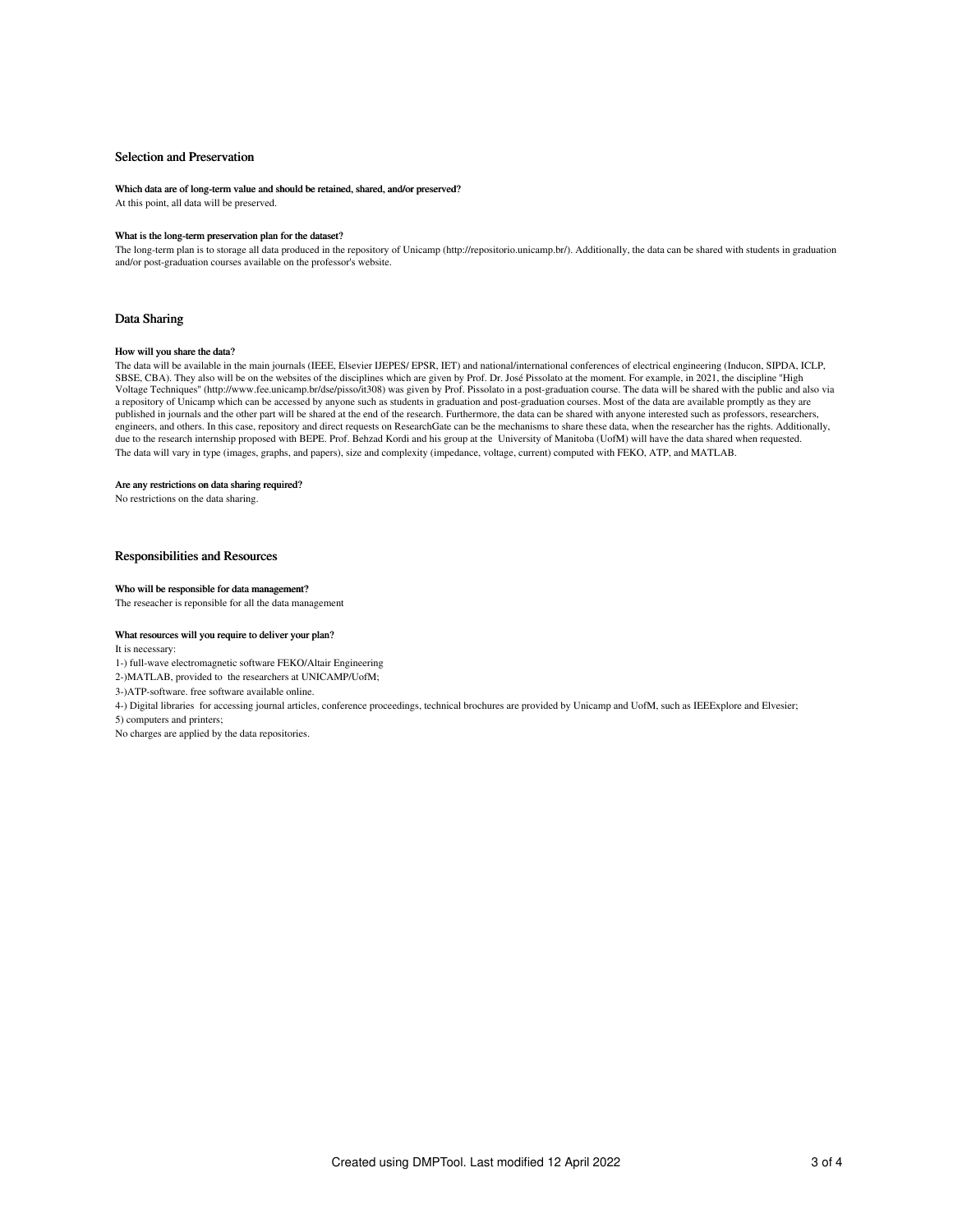# Selection and Preservation

### Which data are of long-term value and should be retained, shared, and/or preserved?

At this point, all data will be preserved.

#### What is the long-term preservation plan for the dataset?

The long-term plan is to storage all data produced in the repository of Unicamp (http://repositorio.unicamp.br/). Additionally, the data can be shared with students in graduation and/or post-graduation courses available on the professor's website.

# Data Sharing

### How will you share the data?

The data will be available in the main journals (IEEE, Elsevier IJEPES/ EPSR, IET) and national/international conferences of electrical engineering (Inducon, SIPDA, ICLP, SBSE, CBA). They also will be on the websites of the disciplines which are given by Prof. Dr. José Pissolato at the moment. For example, in 2021, the discipline ''High Voltage Techniques'' (http://www.fee.unicamp.br/dse/pisso/it308) was given by Prof. Pissolato in a post-graduation course. The data will be shared with the public and also via a repository of Unicamp which can be accessed by anyone such as students in graduation and post-graduation courses. Most of the data are available promptly as they are published in journals and the other part will be shared at the end of the research. Furthermore, the data can be shared with anyone interested such as professors, researchers, engineers, and others. In this case, repository and direct requests on ResearchGate can be the mechanisms to share these data, when the researcher has the rights. Additionally, due to the research internship proposed with BEPE. Prof. Behzad Kordi and his group at the University of Manitoba (UofM) will have the data shared when requested. The data will vary in type (images, graphs, and papers), size and complexity (impedance, voltage, current) computed with FEKO, ATP, and MATLAB.

#### Are any restrictions on data sharing required?

No restrictions on the data sharing.

# Responsibilities and Resources

#### Who will be responsible for data management?

The reseacher is reponsible for all the data management

#### What resources will you require to deliver your plan?

It is necessary:

1-) full-wave electromagnetic software FEKO/Altair Engineering

2-)MATLAB, provided to the researchers at UNICAMP/UofM;

3-)ATP-software. free software available online.

4-) Digital libraries for accessing journal articles, conference proceedings, technical brochures are provided by Unicamp and UofM, such as IEEExplore and Elvesier;

5) computers and printers;

No charges are applied by the data repositories.